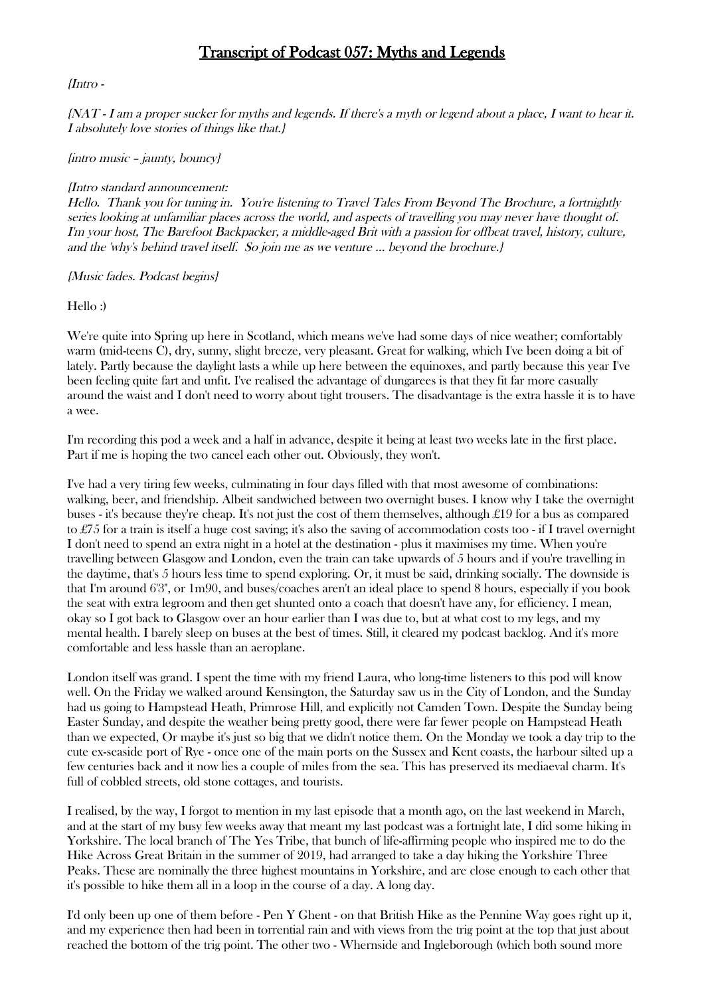# Transcript of Podcast 057: Myths and Legends

# {Intro -

{NAT - I am a proper sucker for myths and legends. If there's a myth or legend about a place, I want to hear it. I absolutely love stories of things like that.}

# {intro music – jaunty, bouncy}

# {Intro standard announcement:

Hello. Thank you for tuning in. You're listening to Travel Tales From Beyond The Brochure, a fortnightly series looking at unfamiliar places across the world, and aspects of travelling you may never have thought of. I'm your host, The Barefoot Backpacker, a middle-aged Brit with a passion for offbeat travel, history, culture, and the 'why's behind travel itself. So join me as we venture … beyond the brochure.}

{Music fades. Podcast begins}

Hello :)

We're quite into Spring up here in Scotland, which means we've had some days of nice weather; comfortably warm (mid-teens C), dry, sunny, slight breeze, very pleasant. Great for walking, which I've been doing a bit of lately. Partly because the daylight lasts a while up here between the equinoxes, and partly because this year I've been feeling quite fart and unfit. I've realised the advantage of dungarees is that they fit far more casually around the waist and I don't need to worry about tight trousers. The disadvantage is the extra hassle it is to have a wee.

I'm recording this pod a week and a half in advance, despite it being at least two weeks late in the first place. Part if me is hoping the two cancel each other out. Obviously, they won't.

I've had a very tiring few weeks, culminating in four days filled with that most awesome of combinations: walking, beer, and friendship. Albeit sandwiched between two overnight buses. I know why I take the overnight buses - it's because they're cheap. It's not just the cost of them themselves, although £19 for a bus as compared to £75 for a train is itself a huge cost saving; it's also the saving of accommodation costs too - if I travel overnight I don't need to spend an extra night in a hotel at the destination - plus it maximises my time. When you're travelling between Glasgow and London, even the train can take upwards of 5 hours and if you're travelling in the daytime, that's 5 hours less time to spend exploring. Or, it must be said, drinking socially. The downside is that I'm around 6'3", or 1m90, and buses/coaches aren't an ideal place to spend 8 hours, especially if you book the seat with extra legroom and then get shunted onto a coach that doesn't have any, for efficiency. I mean, okay so I got back to Glasgow over an hour earlier than I was due to, but at what cost to my legs, and my mental health. I barely sleep on buses at the best of times. Still, it cleared my podcast backlog. And it's more comfortable and less hassle than an aeroplane.

London itself was grand. I spent the time with my friend Laura, who long-time listeners to this pod will know well. On the Friday we walked around Kensington, the Saturday saw us in the City of London, and the Sunday had us going to Hampstead Heath, Primrose Hill, and explicitly not Camden Town. Despite the Sunday being Easter Sunday, and despite the weather being pretty good, there were far fewer people on Hampstead Heath than we expected, Or maybe it's just so big that we didn't notice them. On the Monday we took a day trip to the cute ex-seaside port of Rye - once one of the main ports on the Sussex and Kent coasts, the harbour silted up a few centuries back and it now lies a couple of miles from the sea. This has preserved its mediaeval charm. It's full of cobbled streets, old stone cottages, and tourists.

I realised, by the way, I forgot to mention in my last episode that a month ago, on the last weekend in March, and at the start of my busy few weeks away that meant my last podcast was a fortnight late, I did some hiking in Yorkshire. The local branch of The Yes Tribe, that bunch of life-affirming people who inspired me to do the Hike Across Great Britain in the summer of 2019, had arranged to take a day hiking the Yorkshire Three Peaks. These are nominally the three highest mountains in Yorkshire, and are close enough to each other that it's possible to hike them all in a loop in the course of a day. A long day.

I'd only been up one of them before - Pen Y Ghent - on that British Hike as the Pennine Way goes right up it, and my experience then had been in torrential rain and with views from the trig point at the top that just about reached the bottom of the trig point. The other two - Whernside and Ingleborough (which both sound more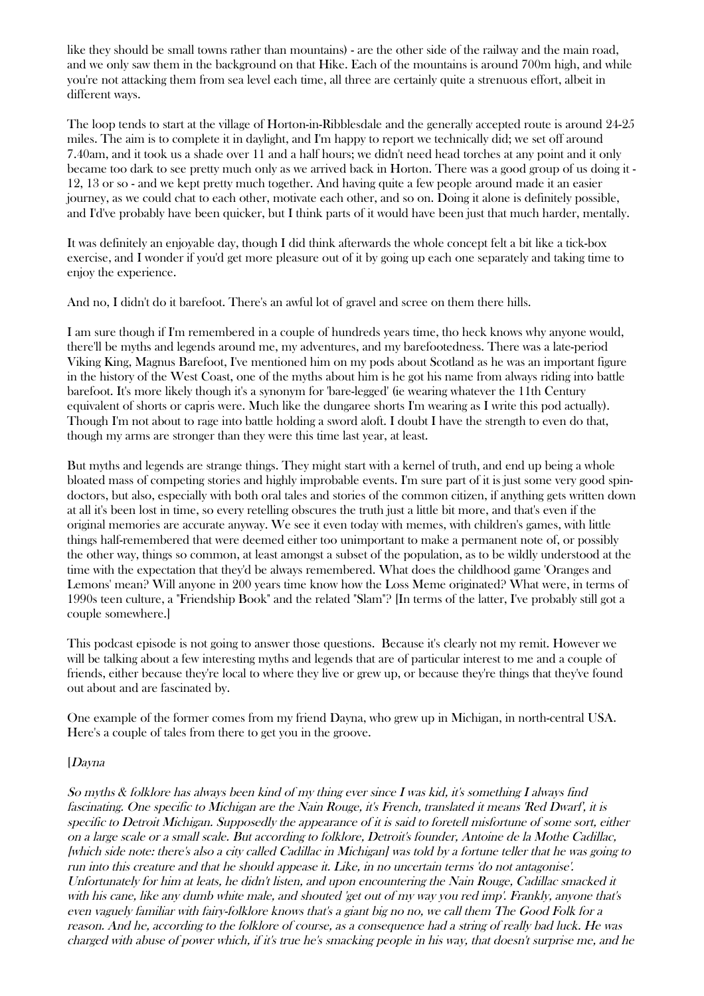like they should be small towns rather than mountains) - are the other side of the railway and the main road, and we only saw them in the background on that Hike. Each of the mountains is around 700m high, and while you're not attacking them from sea level each time, all three are certainly quite a strenuous effort, albeit in different ways.

The loop tends to start at the village of Horton-in-Ribblesdale and the generally accepted route is around 24-25 miles. The aim is to complete it in daylight, and I'm happy to report we technically did; we set off around 7.40am, and it took us a shade over 11 and a half hours; we didn't need head torches at any point and it only became too dark to see pretty much only as we arrived back in Horton. There was a good group of us doing it - 12, 13 or so - and we kept pretty much together. And having quite a few people around made it an easier journey, as we could chat to each other, motivate each other, and so on. Doing it alone is definitely possible, and I'd've probably have been quicker, but I think parts of it would have been just that much harder, mentally.

It was definitely an enjoyable day, though I did think afterwards the whole concept felt a bit like a tick-box exercise, and I wonder if you'd get more pleasure out of it by going up each one separately and taking time to enjoy the experience.

And no, I didn't do it barefoot. There's an awful lot of gravel and scree on them there hills.

I am sure though if I'm remembered in a couple of hundreds years time, tho heck knows why anyone would, there'll be myths and legends around me, my adventures, and my barefootedness. There was a late-period Viking King, Magnus Barefoot, I've mentioned him on my pods about Scotland as he was an important figure in the history of the West Coast, one of the myths about him is he got his name from always riding into battle barefoot. It's more likely though it's a synonym for 'bare-legged' (ie wearing whatever the 11th Century equivalent of shorts or capris were. Much like the dungaree shorts I'm wearing as I write this pod actually). Though I'm not about to rage into battle holding a sword aloft. I doubt I have the strength to even do that, though my arms are stronger than they were this time last year, at least.

But myths and legends are strange things. They might start with a kernel of truth, and end up being a whole bloated mass of competing stories and highly improbable events. I'm sure part of it is just some very good spindoctors, but also, especially with both oral tales and stories of the common citizen, if anything gets written down at all it's been lost in time, so every retelling obscures the truth just a little bit more, and that's even if the original memories are accurate anyway. We see it even today with memes, with children's games, with little things half-remembered that were deemed either too unimportant to make a permanent note of, or possibly the other way, things so common, at least amongst a subset of the population, as to be wildly understood at the time with the expectation that they'd be always remembered. What does the childhood game 'Oranges and Lemons' mean? Will anyone in 200 years time know how the Loss Meme originated? What were, in terms of 1990s teen culture, a "Friendship Book" and the related "Slam"? [In terms of the latter, I've probably still got a couple somewhere.]

This podcast episode is not going to answer those questions. Because it's clearly not my remit. However we will be talking about a few interesting myths and legends that are of particular interest to me and a couple of friends, either because they're local to where they live or grew up, or because they're things that they've found out about and are fascinated by.

One example of the former comes from my friend Dayna, who grew up in Michigan, in north-central USA. Here's a couple of tales from there to get you in the groove.

# [Dayna

So myths & folklore has always been kind of my thing ever since I was kid, it's something I always find fascinating. One specific to Michigan are the Nain Rouge, it's French, translated it means 'Red Dwarf', it is specific to Detroit Michigan. Supposedly the appearance of it is said to foretell misfortune of some sort, either on a large scale or a small scale. But according to folklore, Detroit's founder, Antoine de la Mothe Cadillac, [which side note: there's also a city called Cadillac in Michigan] was told by a fortune teller that he was going to run into this creature and that he should appease it. Like, in no uncertain terms 'do not antagonise'. Unfortunately for him at leats, he didn't listen, and upon encountering the Nain Rouge, Cadillac smacked it with his cane, like any dumb white male, and shouted 'get out of my way you red imp'. Frankly, anyone that's even vaguely familiar with fairy-folklore knows that's a giant big no no, we call them The Good Folk for a reason. And he, according to the folklore of course, as a consequence had a string of really bad luck. He was charged with abuse of power which, if it's true he's smacking people in his way, that doesn't surprise me, and he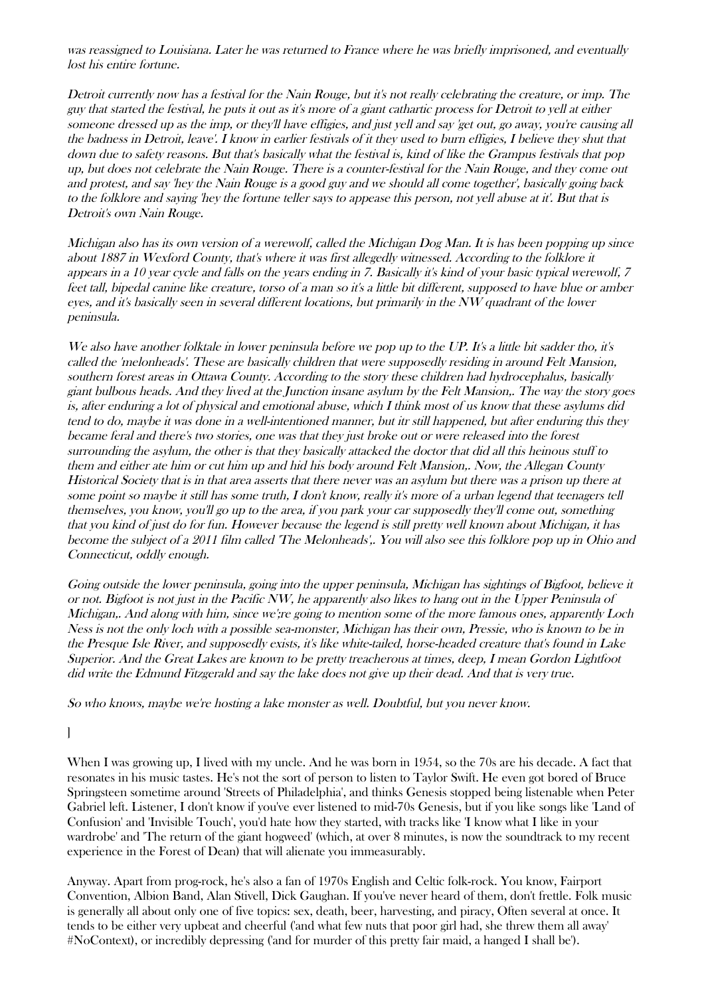was reassigned to Louisiana. Later he was returned to France where he was briefly imprisoned, and eventually lost his entire fortune.

Detroit currently now has a festival for the Nain Rouge, but it's not really celebrating the creature, or imp. The guy that started the festival, he puts it out as it's more of a giant cathartic process for Detroit to yell at either someone dressed up as the imp, or they'll have effigies, and just yell and say 'get out, go away, you're causing all the badness in Detroit, leave'. I know in earlier festivals of it they used to burn effigies, I believe they shut that down due to safety reasons. But that's basically what the festival is, kind of like the Grampus festivals that pop up, but does not celebrate the Nain Rouge. There is a counter-festival for the Nain Rouge, and they come out and protest, and say 'hey the Nain Rouge is a good guy and we should all come together', basically going back to the folklore and saying 'hey the fortune teller says to appease this person, not yell abuse at it'. But that is Detroit's own Nain Rouge.

Michigan also has its own version of a werewolf, called the Michigan Dog Man. It is has been popping up since about 1887 in Wexford County, that's where it was first allegedly witnessed. According to the folklore it appears in a 10 year cycle and falls on the years ending in 7. Basically it's kind of your basic typical werewolf, 7 feet tall, bipedal canine like creature, torso of a man so it's a little bit different, supposed to have blue or amber eyes, and it's basically seen in several different locations, but primarily in the NW quadrant of the lower peninsula.

We also have another folktale in lower peninsula before we pop up to the UP. It's a little bit sadder tho, it's called the 'melonheads'. These are basically children that were supposedly residing in around Felt Mansion, southern forest areas in Ottawa County. According to the story these children had hydrocephalus, basically giant bulbous heads. And they lived at the Junction insane asylum by the Felt Mansion,. The way the story goes is, after enduring a lot of physical and emotional abuse, which I think most of us know that these asylums did tend to do, maybe it was done in a well-intentioned manner, but itr still happened, but after enduring this they became feral and there's two stories, one was that they just broke out or were released into the forest surrounding the asylum, the other is that they basically attacked the doctor that did all this heinous stuff to them and either ate him or cut him up and hid his body around Felt Mansion,. Now, the Allegan County Historical Society that is in that area asserts that there never was an asylum but there was a prison up there at some point so maybe it still has some truth, I don't know, really it's more of a urban legend that teenagers tell themselves, you know, you'll go up to the area, if you park your car supposedly they'll come out, something that you kind of just do for fun. However because the legend is still pretty well known about Michigan, it has become the subject of a 2011 film called 'The Melonheads',. You will also see this folklore pop up in Ohio and Connecticut, oddly enough.

Going outside the lower peninsula, going into the upper peninsula, Michigan has sightings of Bigfoot, believe it or not. Bigfoot is not just in the Pacific NW, he apparently also likes to hang out in the Upper Peninsula of Michigan,. And along with him, since we';re going to mention some of the more famous ones, apparently Loch Ness is not the only loch with a possible sea-monster, Michigan has their own, Pressie, who is known to be in the Presque Isle River, and supposedly exists, it's like white-tailed, horse-headed creature that's found in Lake Superior. And the Great Lakes are known to be pretty treacherous at times, deep, I mean Gordon Lightfoot did write the Edmund Fitzgerald and say the lake does not give up their dead. And that is very true.

So who knows, maybe we're hosting a lake monster as well. Doubtful, but you never know.

]

When I was growing up, I lived with my uncle. And he was born in 1954, so the 70s are his decade. A fact that resonates in his music tastes. He's not the sort of person to listen to Taylor Swift. He even got bored of Bruce Springsteen sometime around 'Streets of Philadelphia', and thinks Genesis stopped being listenable when Peter Gabriel left. Listener, I don't know if you've ever listened to mid-70s Genesis, but if you like songs like 'Land of Confusion' and 'Invisible Touch', you'd hate how they started, with tracks like 'I know what I like in your wardrobe' and 'The return of the giant hogweed' (which, at over 8 minutes, is now the soundtrack to my recent experience in the Forest of Dean) that will alienate you immeasurably.

Anyway. Apart from prog-rock, he's also a fan of 1970s English and Celtic folk-rock. You know, Fairport Convention, Albion Band, Alan Stivell, Dick Gaughan. If you've never heard of them, don't frettle. Folk music is generally all about only one of five topics: sex, death, beer, harvesting, and piracy, Often several at once. It tends to be either very upbeat and cheerful ('and what few nuts that poor girl had, she threw them all away' #NoContext), or incredibly depressing ('and for murder of this pretty fair maid, a hanged I shall be').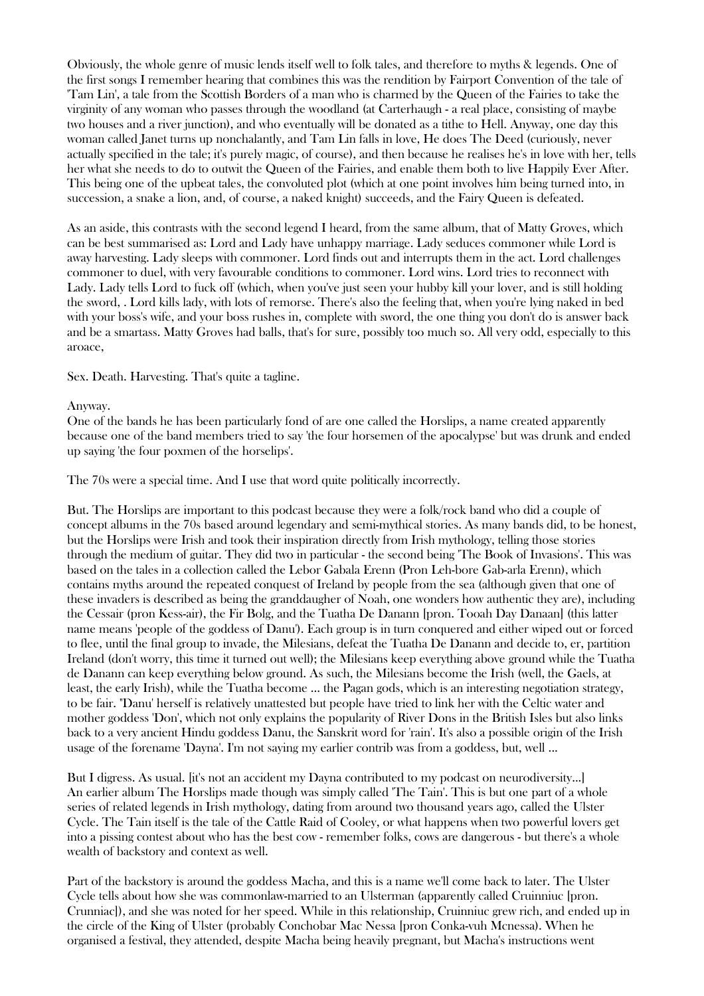Obviously, the whole genre of music lends itself well to folk tales, and therefore to myths & legends. One of the first songs I remember hearing that combines this was the rendition by Fairport Convention of the tale of 'Tam Lin', a tale from the Scottish Borders of a man who is charmed by the Queen of the Fairies to take the virginity of any woman who passes through the woodland (at Carterhaugh - a real place, consisting of maybe two houses and a river junction), and who eventually will be donated as a tithe to Hell. Anyway, one day this woman called Janet turns up nonchalantly, and Tam Lin falls in love, He does The Deed (curiously, never actually specified in the tale; it's purely magic, of course), and then because he realises he's in love with her, tells her what she needs to do to outwit the Queen of the Fairies, and enable them both to live Happily Ever After. This being one of the upbeat tales, the convoluted plot (which at one point involves him being turned into, in succession, a snake a lion, and, of course, a naked knight) succeeds, and the Fairy Queen is defeated.

As an aside, this contrasts with the second legend I heard, from the same album, that of Matty Groves, which can be best summarised as: Lord and Lady have unhappy marriage. Lady seduces commoner while Lord is away harvesting. Lady sleeps with commoner. Lord finds out and interrupts them in the act. Lord challenges commoner to duel, with very favourable conditions to commoner. Lord wins. Lord tries to reconnect with Lady. Lady tells Lord to fuck off (which, when you've just seen your hubby kill your lover, and is still holding the sword, . Lord kills lady, with lots of remorse. There's also the feeling that, when you're lying naked in bed with your boss's wife, and your boss rushes in, complete with sword, the one thing you don't do is answer back and be a smartass. Matty Groves had balls, that's for sure, possibly too much so. All very odd, especially to this aroace,

Sex. Death. Harvesting. That's quite a tagline.

#### Anyway.

One of the bands he has been particularly fond of are one called the Horslips, a name created apparently because one of the band members tried to say 'the four horsemen of the apocalypse' but was drunk and ended up saying 'the four poxmen of the horselips'.

The 70s were a special time. And I use that word quite politically incorrectly.

But. The Horslips are important to this podcast because they were a folk/rock band who did a couple of concept albums in the 70s based around legendary and semi-mythical stories. As many bands did, to be honest, but the Horslips were Irish and took their inspiration directly from Irish mythology, telling those stories through the medium of guitar. They did two in particular - the second being 'The Book of Invasions'. This was based on the tales in a collection called the Lebor Gabala Erenn (Pron Leh-bore Gab-arla Erenn), which contains myths around the repeated conquest of Ireland by people from the sea (although given that one of these invaders is described as being the granddaugher of Noah, one wonders how authentic they are), including the Cessair (pron Kess-air), the Fir Bolg, and the Tuatha De Danann [pron. Tooah Day Danaan] (this latter name means 'people of the goddess of Danu'). Each group is in turn conquered and either wiped out or forced to flee, until the final group to invade, the Milesians, defeat the Tuatha De Danann and decide to, er, partition Ireland (don't worry, this time it turned out well); the Milesians keep everything above ground while the Tuatha de Danann can keep everything below ground. As such, the Milesians become the Irish (well, the Gaels, at least, the early Irish), while the Tuatha become ... the Pagan gods, which is an interesting negotiation strategy, to be fair. "Danu' herself is relatively unattested but people have tried to link her with the Celtic water and mother goddess 'Don', which not only explains the popularity of River Dons in the British Isles but also links back to a very ancient Hindu goddess Danu, the Sanskrit word for 'rain'. It's also a possible origin of the Irish usage of the forename 'Dayna'. I'm not saying my earlier contrib was from a goddess, but, well ...

But I digress. As usual. [it's not an accident my Dayna contributed to my podcast on neurodiversity...] An earlier album The Horslips made though was simply called 'The Tain'. This is but one part of a whole series of related legends in Irish mythology, dating from around two thousand years ago, called the Ulster Cycle. The Tain itself is the tale of the Cattle Raid of Cooley, or what happens when two powerful lovers get into a pissing contest about who has the best cow - remember folks, cows are dangerous - but there's a whole wealth of backstory and context as well.

Part of the backstory is around the goddess Macha, and this is a name we'll come back to later. The Ulster Cycle tells about how she was commonlaw-married to an Ulsterman (apparently called Cruinniuc [pron. Crunniac]), and she was noted for her speed. While in this relationship, Cruinniuc grew rich, and ended up in the circle of the King of Ulster (probably Conchobar Mac Nessa [pron Conka-vuh Mcnessa). When he organised a festival, they attended, despite Macha being heavily pregnant, but Macha's instructions went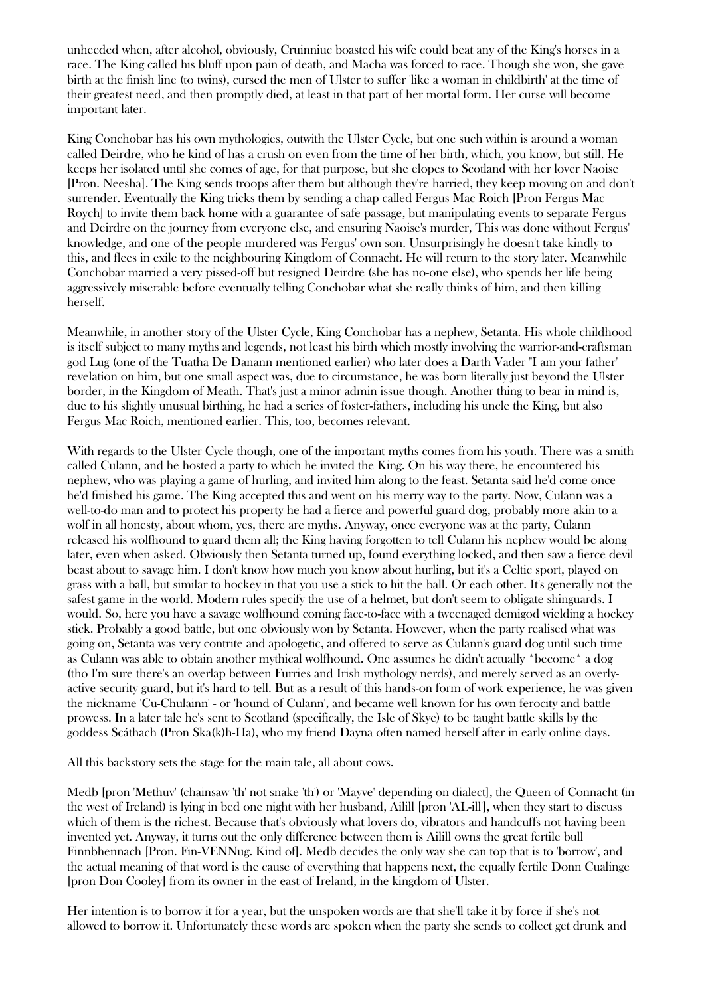unheeded when, after alcohol, obviously, Cruinniuc boasted his wife could beat any of the King's horses in a race. The King called his bluff upon pain of death, and Macha was forced to race. Though she won, she gave birth at the finish line (to twins), cursed the men of Ulster to suffer 'like a woman in childbirth' at the time of their greatest need, and then promptly died, at least in that part of her mortal form. Her curse will become important later.

King Conchobar has his own mythologies, outwith the Ulster Cycle, but one such within is around a woman called Deirdre, who he kind of has a crush on even from the time of her birth, which, you know, but still. He keeps her isolated until she comes of age, for that purpose, but she elopes to Scotland with her lover Naoise [Pron. Neesha]. The King sends troops after them but although they're harried, they keep moving on and don't surrender. Eventually the King tricks them by sending a chap called Fergus Mac Roich [Pron Fergus Mac Roych] to invite them back home with a guarantee of safe passage, but manipulating events to separate Fergus and Deirdre on the journey from everyone else, and ensuring Naoise's murder, This was done without Fergus' knowledge, and one of the people murdered was Fergus' own son. Unsurprisingly he doesn't take kindly to this, and flees in exile to the neighbouring Kingdom of Connacht. He will return to the story later. Meanwhile Conchobar married a very pissed-off but resigned Deirdre (she has no-one else), who spends her life being aggressively miserable before eventually telling Conchobar what she really thinks of him, and then killing herself.

Meanwhile, in another story of the Ulster Cycle, King Conchobar has a nephew, Setanta. His whole childhood is itself subject to many myths and legends, not least his birth which mostly involving the warrior-and-craftsman god Lug (one of the Tuatha De Danann mentioned earlier) who later does a Darth Vader "I am your father" revelation on him, but one small aspect was, due to circumstance, he was born literally just beyond the Ulster border, in the Kingdom of Meath. That's just a minor admin issue though. Another thing to bear in mind is, due to his slightly unusual birthing, he had a series of foster-fathers, including his uncle the King, but also Fergus Mac Roich, mentioned earlier. This, too, becomes relevant.

With regards to the Ulster Cycle though, one of the important myths comes from his youth. There was a smith called Culann, and he hosted a party to which he invited the King. On his way there, he encountered his nephew, who was playing a game of hurling, and invited him along to the feast. Setanta said he'd come once he'd finished his game. The King accepted this and went on his merry way to the party. Now, Culann was a well-to-do man and to protect his property he had a fierce and powerful guard dog, probably more akin to a wolf in all honesty, about whom, yes, there are myths. Anyway, once everyone was at the party, Culann released his wolfhound to guard them all; the King having forgotten to tell Culann his nephew would be along later, even when asked. Obviously then Setanta turned up, found everything locked, and then saw a fierce devil beast about to savage him. I don't know how much you know about hurling, but it's a Celtic sport, played on grass with a ball, but similar to hockey in that you use a stick to hit the ball. Or each other. It's generally not the safest game in the world. Modern rules specify the use of a helmet, but don't seem to obligate shinguards. I would. So, here you have a savage wolfhound coming face-to-face with a tweenaged demigod wielding a hockey stick. Probably a good battle, but one obviously won by Setanta. However, when the party realised what was going on, Setanta was very contrite and apologetic, and offered to serve as Culann's guard dog until such time as Culann was able to obtain another mythical wolfhound. One assumes he didn't actually \*become\* a dog (tho I'm sure there's an overlap between Furries and Irish mythology nerds), and merely served as an overlyactive security guard, but it's hard to tell. But as a result of this hands-on form of work experience, he was given the nickname 'Cu-Chulainn' - or 'hound of Culann', and became well known for his own ferocity and battle prowess. In a later tale he's sent to Scotland (specifically, the Isle of Skye) to be taught battle skills by the goddess Scáthach (Pron Ska(k)h-Ha), who my friend Dayna often named herself after in early online days.

All this backstory sets the stage for the main tale, all about cows.

Medb [pron 'Methuv' (chainsaw 'th' not snake 'th') or 'Mayve' depending on dialect], the Queen of Connacht (in the west of Ireland) is lying in bed one night with her husband, Ailill [pron 'AL-ill'], when they start to discuss which of them is the richest. Because that's obviously what lovers do, vibrators and handcuffs not having been invented yet. Anyway, it turns out the only difference between them is Ailill owns the great fertile bull Finnbhennach [Pron. Fin-VENNug. Kind of]. Medb decides the only way she can top that is to 'borrow', and the actual meaning of that word is the cause of everything that happens next, the equally fertile Donn Cualinge [pron Don Cooley] from its owner in the east of Ireland, in the kingdom of Ulster.

Her intention is to borrow it for a year, but the unspoken words are that she'll take it by force if she's not allowed to borrow it. Unfortunately these words are spoken when the party she sends to collect get drunk and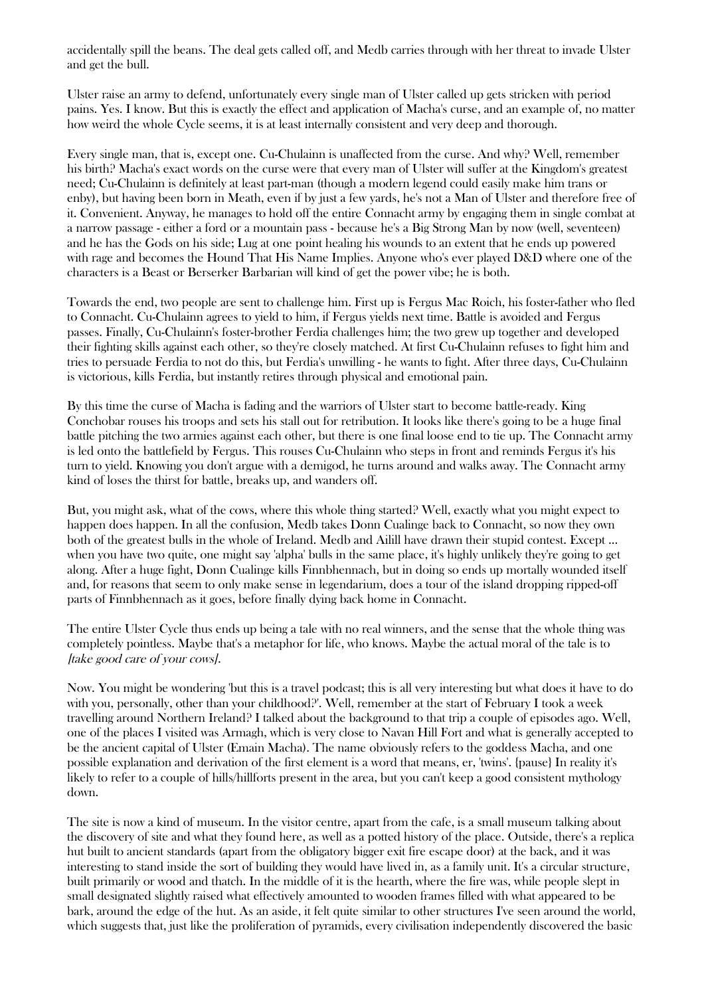accidentally spill the beans. The deal gets called off, and Medb carries through with her threat to invade Ulster and get the bull.

Ulster raise an army to defend, unfortunately every single man of Ulster called up gets stricken with period pains. Yes. I know. But this is exactly the effect and application of Macha's curse, and an example of, no matter how weird the whole Cycle seems, it is at least internally consistent and very deep and thorough.

Every single man, that is, except one. Cu-Chulainn is unaffected from the curse. And why? Well, remember his birth? Macha's exact words on the curse were that every man of Ulster will suffer at the Kingdom's greatest need; Cu-Chulainn is definitely at least part-man (though a modern legend could easily make him trans or enby), but having been born in Meath, even if by just a few yards, he's not a Man of Ulster and therefore free of it. Convenient. Anyway, he manages to hold off the entire Connacht army by engaging them in single combat at a narrow passage - either a ford or a mountain pass - because he's a Big Strong Man by now (well, seventeen) and he has the Gods on his side; Lug at one point healing his wounds to an extent that he ends up powered with rage and becomes the Hound That His Name Implies. Anyone who's ever played D&D where one of the characters is a Beast or Berserker Barbarian will kind of get the power vibe; he is both.

Towards the end, two people are sent to challenge him. First up is Fergus Mac Roich, his foster-father who fled to Connacht. Cu-Chulainn agrees to yield to him, if Fergus yields next time. Battle is avoided and Fergus passes. Finally, Cu-Chulainn's foster-brother Ferdia challenges him; the two grew up together and developed their fighting skills against each other, so they're closely matched. At first Cu-Chulainn refuses to fight him and tries to persuade Ferdia to not do this, but Ferdia's unwilling - he wants to fight. After three days, Cu-Chulainn is victorious, kills Ferdia, but instantly retires through physical and emotional pain.

By this time the curse of Macha is fading and the warriors of Ulster start to become battle-ready. King Conchobar rouses his troops and sets his stall out for retribution. It looks like there's going to be a huge final battle pitching the two armies against each other, but there is one final loose end to tie up. The Connacht army is led onto the battlefield by Fergus. This rouses Cu-Chulainn who steps in front and reminds Fergus it's his turn to yield. Knowing you don't argue with a demigod, he turns around and walks away. The Connacht army kind of loses the thirst for battle, breaks up, and wanders off.

But, you might ask, what of the cows, where this whole thing started? Well, exactly what you might expect to happen does happen. In all the confusion, Medb takes Donn Cualinge back to Connacht, so now they own both of the greatest bulls in the whole of Ireland. Medb and Ailill have drawn their stupid contest. Except ... when you have two quite, one might say 'alpha' bulls in the same place, it's highly unlikely they're going to get along. After a huge fight, Donn Cualinge kills Finnbhennach, but in doing so ends up mortally wounded itself and, for reasons that seem to only make sense in legendarium, does a tour of the island dropping ripped-off parts of Finnbhennach as it goes, before finally dying back home in Connacht.

The entire Ulster Cycle thus ends up being a tale with no real winners, and the sense that the whole thing was completely pointless. Maybe that's a metaphor for life, who knows. Maybe the actual moral of the tale is to [take good care of your cows].

Now. You might be wondering 'but this is a travel podcast; this is all very interesting but what does it have to do with you, personally, other than your childhood?'. Well, remember at the start of February I took a week travelling around Northern Ireland? I talked about the background to that trip a couple of episodes ago. Well, one of the places I visited was Armagh, which is very close to Navan Hill Fort and what is generally accepted to be the ancient capital of Ulster (Emain Macha). The name obviously refers to the goddess Macha, and one possible explanation and derivation of the first element is a word that means, er, 'twins'. {pause} In reality it's likely to refer to a couple of hills/hillforts present in the area, but you can't keep a good consistent mythology down.

The site is now a kind of museum. In the visitor centre, apart from the cafe, is a small museum talking about the discovery of site and what they found here, as well as a potted history of the place. Outside, there's a replica hut built to ancient standards (apart from the obligatory bigger exit fire escape door) at the back, and it was interesting to stand inside the sort of building they would have lived in, as a family unit. It's a circular structure, built primarily or wood and thatch. In the middle of it is the hearth, where the fire was, while people slept in small designated slightly raised what effectively amounted to wooden frames filled with what appeared to be bark, around the edge of the hut. As an aside, it felt quite similar to other structures I've seen around the world, which suggests that, just like the proliferation of pyramids, every civilisation independently discovered the basic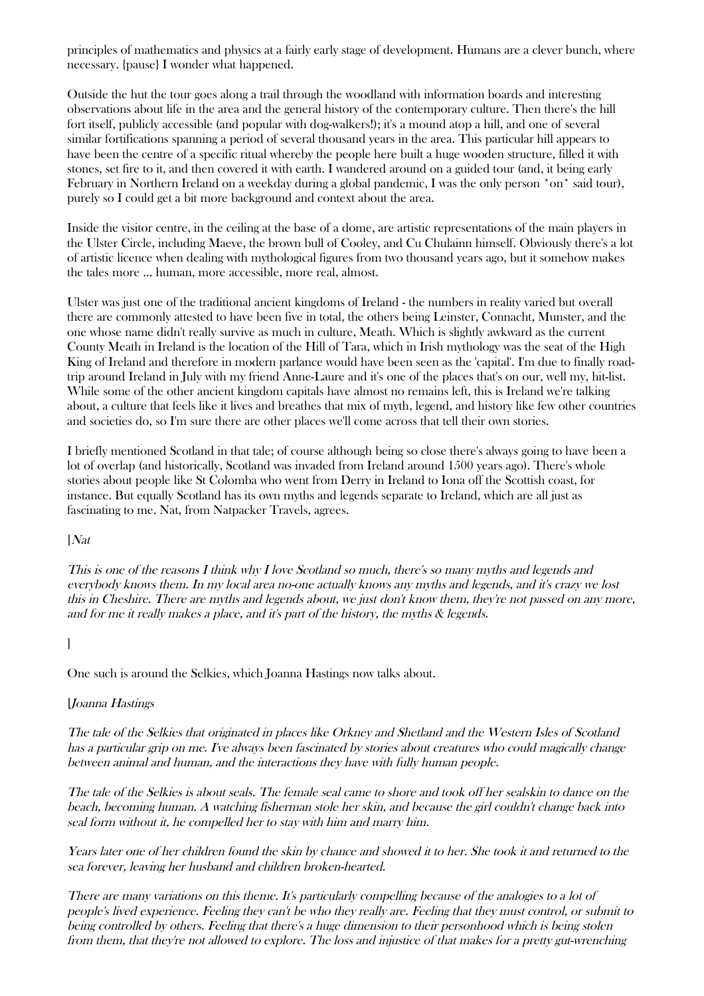principles of mathematics and physics at a fairly early stage of development. Humans are a clever bunch, where necessary. {pause} I wonder what happened.

Outside the hut the tour goes along a trail through the woodland with information boards and interesting observations about life in the area and the general history of the contemporary culture. Then there's the hill fort itself, publicly accessible (and popular with dog-walkers!); it's a mound atop a hill, and one of several similar fortifications spanning a period of several thousand years in the area. This particular hill appears to have been the centre of a specific ritual whereby the people here built a huge wooden structure, filled it with stones, set fire to it, and then covered it with earth. I wandered around on a guided tour (and, it being early February in Northern Ireland on a weekday during a global pandemic, I was the only person \*on\* said tour), purely so I could get a bit more background and context about the area.

Inside the visitor centre, in the ceiling at the base of a dome, are artistic representations of the main players in the Ulster Circle, including Maeve, the brown bull of Cooley, and Cu Chulainn himself. Obviously there's a lot of artistic licence when dealing with mythological figures from two thousand years ago, but it somehow makes the tales more ... human, more accessible, more real, almost.

Ulster was just one of the traditional ancient kingdoms of Ireland - the numbers in reality varied but overall there are commonly attested to have been five in total, the others being Leinster, Connacht, Munster, and the one whose name didn't really survive as much in culture, Meath. Which is slightly awkward as the current County Meath in Ireland is the location of the Hill of Tara, which in Irish mythology was the seat of the High King of Ireland and therefore in modern parlance would have been seen as the 'capital'. I'm due to finally roadtrip around Ireland in July with my friend Anne-Laure and it's one of the places that's on our, well my, hit-list. While some of the other ancient kingdom capitals have almost no remains left, this is Ireland we're talking about, a culture that feels like it lives and breathes that mix of myth, legend, and history like few other countries and societies do, so I'm sure there are other places we'll come across that tell their own stories.

I briefly mentioned Scotland in that tale; of course although being so close there's always going to have been a lot of overlap (and historically, Scotland was invaded from Ireland around 1500 years ago). There's whole stories about people like St Colomba who went from Derry in Ireland to Iona off the Scottish coast, for instance. But equally Scotland has its own myths and legends separate to Ireland, which are all just as fascinating to me. Nat, from Natpacker Travels, agrees.

[Nat

This is one of the reasons I think why I love Scotland so much, there's so many myths and legends and everybody knows them. In my local area no-one actually knows any myths and legends, and it's crazy we lost this in Cheshire. There are myths and legends about, we just don't know them, they're not passed on any more, and for me it really makes a place, and it's part of the history, the myths & legends.

### ]

One such is around the Selkies, which Joanna Hastings now talks about.

#### [Joanna Hastings

The tale of the Selkies that originated in places like Orkney and Shetland and the Western Isles of Scotland has a particular grip on me. I've always been fascinated by stories about creatures who could magically change between animal and human, and the interactions they have with fully human people.

The tale of the Selkies is about seals. The female seal came to shore and took off her sealskin to dance on the beach, becoming human. A watching fisherman stole her skin, and because the girl couldn't change back into seal form without it, he compelled her to stay with him and marry him.

Years later one of her children found the skin by chance and showed it to her. She took it and returned to the sea forever, leaving her husband and children broken-hearted.

There are many variations on this theme. It's particularly compelling because of the analogies to a lot of people's lived experience. Feeling they can't be who they really are. Feeling that they must control, or submit to being controlled by others. Feeling that there's a huge dimension to their personhood which is being stolen from them, that they're not allowed to explore. The loss and injustice of that makes for a pretty gut-wrenching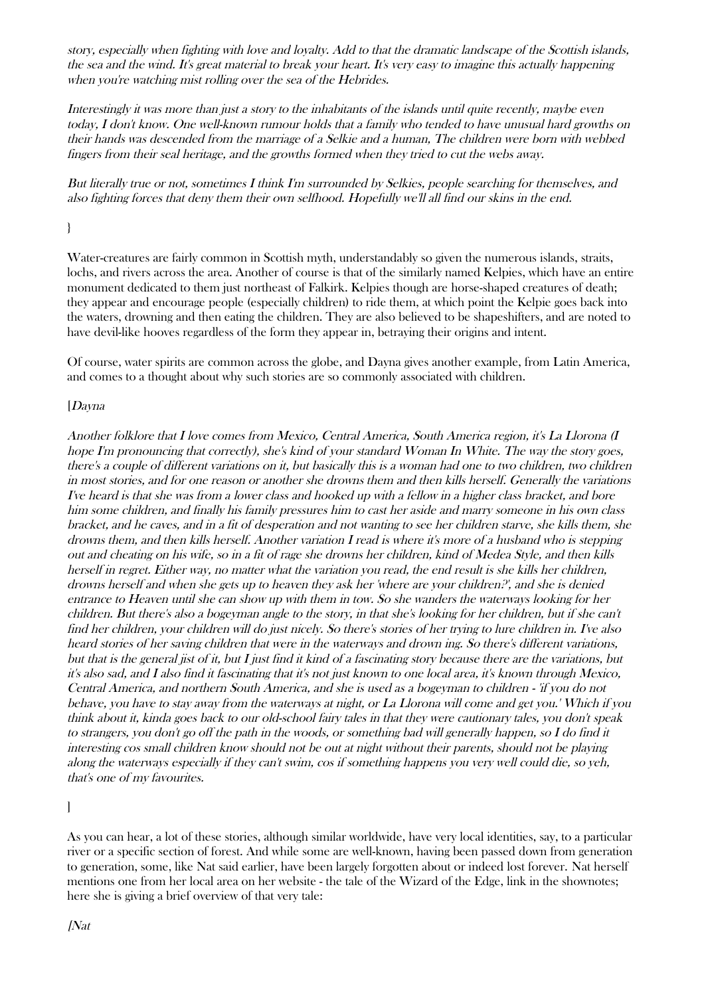story, especially when fighting with love and loyalty. Add to that the dramatic landscape of the Scottish islands, the sea and the wind. It's great material to break your heart. It's very easy to imagine this actually happening when you're watching mist rolling over the sea of the Hebrides.

Interestingly it was more than just a story to the inhabitants of the islands until quite recently, maybe even today, I don't know. One well-known rumour holds that a family who tended to have unusual hard growths on their hands was descended from the marriage of a Selkie and a human, The children were born with webbed fingers from their seal heritage, and the growths formed when they tried to cut the webs away.

But literally true or not, sometimes I think I'm surrounded by Selkies, people searching for themselves, and also fighting forces that deny them their own selfhood. Hopefully we'll all find our skins in the end.

# }

Water-creatures are fairly common in Scottish myth, understandably so given the numerous islands, straits, lochs, and rivers across the area. Another of course is that of the similarly named Kelpies, which have an entire monument dedicated to them just northeast of Falkirk. Kelpies though are horse-shaped creatures of death; they appear and encourage people (especially children) to ride them, at which point the Kelpie goes back into the waters, drowning and then eating the children. They are also believed to be shapeshifters, and are noted to have devil-like hooves regardless of the form they appear in, betraying their origins and intent.

Of course, water spirits are common across the globe, and Dayna gives another example, from Latin America, and comes to a thought about why such stories are so commonly associated with children.

### [Dayna

Another folklore that I love comes from Mexico, Central America, South America region, it's La Llorona (I hope I'm pronouncing that correctly), she's kind of your standard Woman In White. The way the story goes, there's a couple of different variations on it, but basically this is a woman had one to two children, two children in most stories, and for one reason or another she drowns them and then kills herself. Generally the variations I've heard is that she was from a lower class and hooked up with a fellow in a higher class bracket, and bore him some children, and finally his family pressures him to cast her aside and marry someone in his own class bracket, and he caves, and in a fit of desperation and not wanting to see her children starve, she kills them, she drowns them, and then kills herself. Another variation I read is where it's more of a husband who is stepping out and cheating on his wife, so in a fit of rage she drowns her children, kind of Medea Style, and then kills herself in regret. Either way, no matter what the variation you read, the end result is she kills her children, drowns herself and when she gets up to heaven they ask her 'where are your children?', and she is denied entrance to Heaven until she can show up with them in tow. So she wanders the waterways looking for her children. But there's also a bogeyman angle to the story, in that she's looking for her children, but if she can't find her children, your children will do just nicely. So there's stories of her trying to lure children in. I've also heard stories of her saving children that were in the waterways and drown ing. So there's different variations, but that is the general jist of it, but I just find it kind of a fascinating story because there are the variations, but it's also sad, and I also find it fascinating that it's not just known to one local area, it's known through Mexico, Central America, and northern South America, and she is used as a bogeyman to children - 'if you do not behave, you have to stay away from the waterways at night, or La Llorona will come and get you.' Which if you think about it, kinda goes back to our old-school fairy tales in that they were cautionary tales, you don't speak to strangers, you don't go off the path in the woods, or something bad will generally happen, so I do find it interesting cos small children know should not be out at night without their parents, should not be playing along the waterways especially if they can't swim, cos if something happens you very well could die, so yeh, that's one of my favourites.

 $\mathbf{I}$ 

As you can hear, a lot of these stories, although similar worldwide, have very local identities, say, to a particular river or a specific section of forest. And while some are well-known, having been passed down from generation to generation, some, like Nat said earlier, have been largely forgotten about or indeed lost forever. Nat herself mentions one from her local area on her website - the tale of the Wizard of the Edge, link in the shownotes; here she is giving a brief overview of that very tale: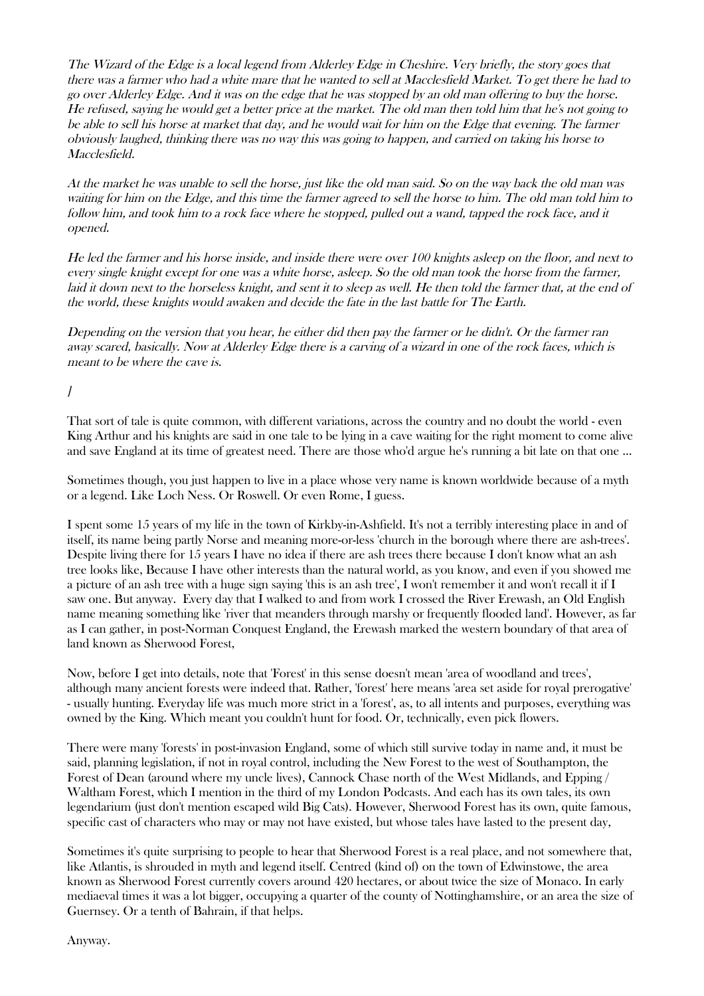The Wizard of the Edge is a local legend from Alderley Edge in Cheshire. Very briefly, the story goes that there was a farmer who had a white mare that he wanted to sell at Macclesfield Market. To get there he had to go over Alderley Edge. And it was on the edge that he was stopped by an old man offering to buy the horse. He refused, saying he would get a better price at the market. The old man then told him that he's not going to be able to sell his horse at market that day, and he would wait for him on the Edge that evening. The farmer obviously laughed, thinking there was no way this was going to happen, and carried on taking his horse to Macclesfield.

At the market he was unable to sell the horse, just like the old man said. So on the way back the old man was waiting for him on the Edge, and this time the farmer agreed to sell the horse to him. The old man told him to follow him, and took him to a rock face where he stopped, pulled out a wand, tapped the rock face, and it opened.

He led the farmer and his horse inside, and inside there were over 100 knights asleep on the floor, and next to every single knight except for one was a white horse, asleep. So the old man took the horse from the farmer, laid it down next to the horseless knight, and sent it to sleep as well. He then told the farmer that, at the end of the world, these knights would awaken and decide the fate in the last battle for The Earth.

Depending on the version that you hear, he either did then pay the farmer or he didn't. Or the farmer ran away scared, basically. Now at Alderley Edge there is a carving of a wizard in one of the rock faces, which is meant to be where the cave is.

# $\overline{I}$

That sort of tale is quite common, with different variations, across the country and no doubt the world - even King Arthur and his knights are said in one tale to be lying in a cave waiting for the right moment to come alive and save England at its time of greatest need. There are those who'd argue he's running a bit late on that one ...

Sometimes though, you just happen to live in a place whose very name is known worldwide because of a myth or a legend. Like Loch Ness. Or Roswell. Or even Rome, I guess.

I spent some 15 years of my life in the town of Kirkby-in-Ashfield. It's not a terribly interesting place in and of itself, its name being partly Norse and meaning more-or-less 'church in the borough where there are ash-trees'. Despite living there for 15 years I have no idea if there are ash trees there because I don't know what an ash tree looks like, Because I have other interests than the natural world, as you know, and even if you showed me a picture of an ash tree with a huge sign saying 'this is an ash tree', I won't remember it and won't recall it if I saw one. But anyway. Every day that I walked to and from work I crossed the River Erewash, an Old English name meaning something like 'river that meanders through marshy or frequently flooded land'. However, as far as I can gather, in post-Norman Conquest England, the Erewash marked the western boundary of that area of land known as Sherwood Forest,

Now, before I get into details, note that 'Forest' in this sense doesn't mean 'area of woodland and trees', although many ancient forests were indeed that. Rather, 'forest' here means 'area set aside for royal prerogative' - usually hunting. Everyday life was much more strict in a 'forest', as, to all intents and purposes, everything was owned by the King. Which meant you couldn't hunt for food. Or, technically, even pick flowers.

There were many 'forests' in post-invasion England, some of which still survive today in name and, it must be said, planning legislation, if not in royal control, including the New Forest to the west of Southampton, the Forest of Dean (around where my uncle lives), Cannock Chase north of the West Midlands, and Epping / Waltham Forest, which I mention in the third of my London Podcasts. And each has its own tales, its own legendarium (just don't mention escaped wild Big Cats). However, Sherwood Forest has its own, quite famous, specific cast of characters who may or may not have existed, but whose tales have lasted to the present day,

Sometimes it's quite surprising to people to hear that Sherwood Forest is a real place, and not somewhere that, like Atlantis, is shrouded in myth and legend itself. Centred (kind of) on the town of Edwinstowe, the area known as Sherwood Forest currently covers around 420 hectares, or about twice the size of Monaco. In early mediaeval times it was a lot bigger, occupying a quarter of the county of Nottinghamshire, or an area the size of Guernsey. Or a tenth of Bahrain, if that helps.

Anyway.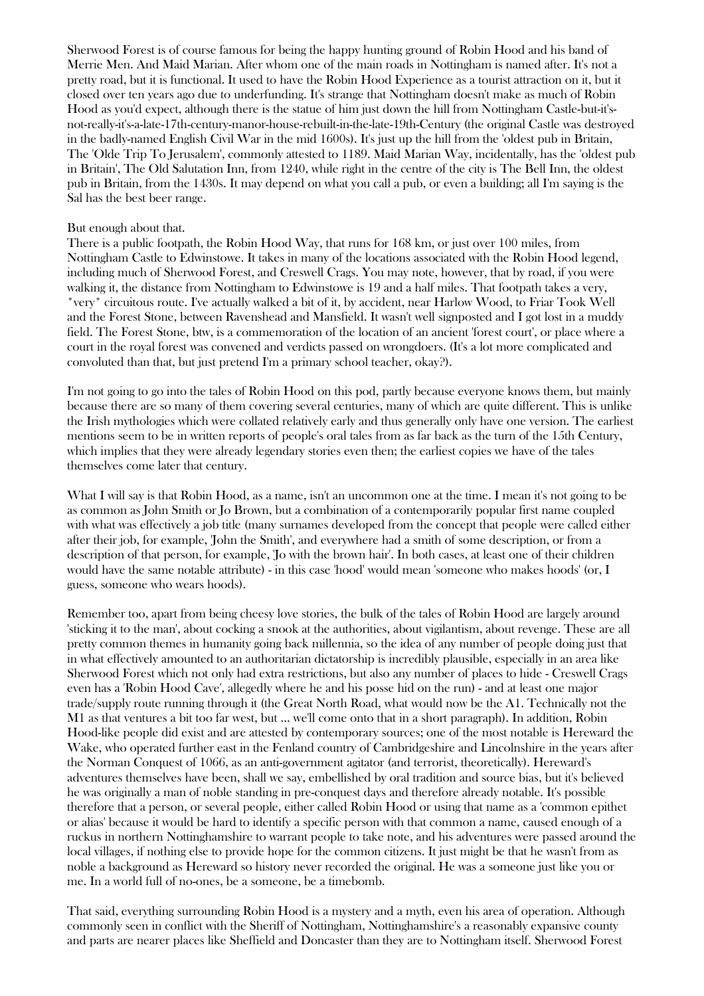Sherwood Forest is of course famous for being the happy hunting ground of Robin Hood and his band of Merrie Men. And Maid Marian. After whom one of the main roads in Nottingham is named after. It's not a pretty road, but it is functional. It used to have the Robin Hood Experience as a tourist attraction on it, but it closed over ten years ago due to underfunding. It's strange that Nottingham doesn't make as much of Robin Hood as you'd expect, although there is the statue of him just down the hill from Nottingham Castle-but-it'snot-really-it's-a-late-17th-century-manor-house-rebuilt-in-the-late-19th-Century (the original Castle was destroyed in the badly-named English Civil War in the mid 1600s). It's just up the hill from the 'oldest pub in Britain, The 'Olde Trip To Jerusalem', commonly attested to 1189. Maid Marian Way, incidentally, has the 'oldest pub in Britain', The Old Salutation Inn, from 1240, while right in the centre of the city is The Bell Inn, the oldest pub in Britain, from the 1430s. It may depend on what you call a pub, or even a building; all I'm saying is the Sal has the best beer range.

### But enough about that.

There is a public footpath, the Robin Hood Way, that runs for 168 km, or just over 100 miles, from Nottingham Castle to Edwinstowe. It takes in many of the locations associated with the Robin Hood legend, including much of Sherwood Forest, and Creswell Crags. You may note, however, that by road, if you were walking it, the distance from Nottingham to Edwinstowe is 19 and a half miles. That footpath takes a very, \*very\* circuitous route. I've actually walked a bit of it, by accident, near Harlow Wood, to Friar Took Well and the Forest Stone, between Ravenshead and Mansfield. It wasn't well signposted and I got lost in a muddy field. The Forest Stone, btw, is a commemoration of the location of an ancient 'forest court', or place where a court in the royal forest was convened and verdicts passed on wrongdoers. (It's a lot more complicated and convoluted than that, but just pretend I'm a primary school teacher, okay?).

I'm not going to go into the tales of Robin Hood on this pod, partly because everyone knows them, but mainly because there are so many of them covering several centuries, many of which are quite different. This is unlike the Irish mythologies which were collated relatively early and thus generally only have one version. The earliest mentions seem to be in written reports of people's oral tales from as far back as the turn of the 15th Century, which implies that they were already legendary stories even then; the earliest copies we have of the tales themselves come later that century.

What I will say is that Robin Hood, as a name, isn't an uncommon one at the time. I mean it's not going to be as common as John Smith or Jo Brown, but a combination of a contemporarily popular first name coupled with what was effectively a job title (many surnames developed from the concept that people were called either after their job, for example, 'John the Smith', and everywhere had a smith of some description, or from a description of that person, for example, 'Jo with the brown hair'. In both cases, at least one of their children would have the same notable attribute) - in this case 'hood' would mean 'someone who makes hoods' (or, I guess, someone who wears hoods).

Remember too, apart from being cheesy love stories, the bulk of the tales of Robin Hood are largely around 'sticking it to the man', about cocking a snook at the authorities, about vigilantism, about revenge. These are all pretty common themes in humanity going back millennia, so the idea of any number of people doing just that in what effectively amounted to an authoritarian dictatorship is incredibly plausible, especially in an area like Sherwood Forest which not only had extra restrictions, but also any number of places to hide - Creswell Crags even has a 'Robin Hood Cave', allegedly where he and his posse hid on the run) - and at least one major trade/supply route running through it (the Great North Road, what would now be the A1. Technically not the M1 as that ventures a bit too far west, but ... we'll come onto that in a short paragraph). In addition, Robin Hood-like people did exist and are attested by contemporary sources; one of the most notable is Hereward the Wake, who operated further east in the Fenland country of Cambridgeshire and Lincolnshire in the years after the Norman Conquest of 1066, as an anti-government agitator (and terrorist, theoretically). Hereward's adventures themselves have been, shall we say, embellished by oral tradition and source bias, but it's believed he was originally a man of noble standing in pre-conquest days and therefore already notable. It's possible therefore that a person, or several people, either called Robin Hood or using that name as a 'common epithet or alias' because it would be hard to identify a specific person with that common a name, caused enough of a ruckus in northern Nottinghamshire to warrant people to take note, and his adventures were passed around the local villages, if nothing else to provide hope for the common citizens. It just might be that he wasn't from as noble a background as Hereward so history never recorded the original. He was a someone just like you or me. In a world full of no-ones, be a someone, be a timebomb.

That said, everything surrounding Robin Hood is a mystery and a myth, even his area of operation. Although commonly seen in conflict with the Sheriff of Nottingham, Nottinghamshire's a reasonably expansive county and parts are nearer places like Sheffield and Doncaster than they are to Nottingham itself. Sherwood Forest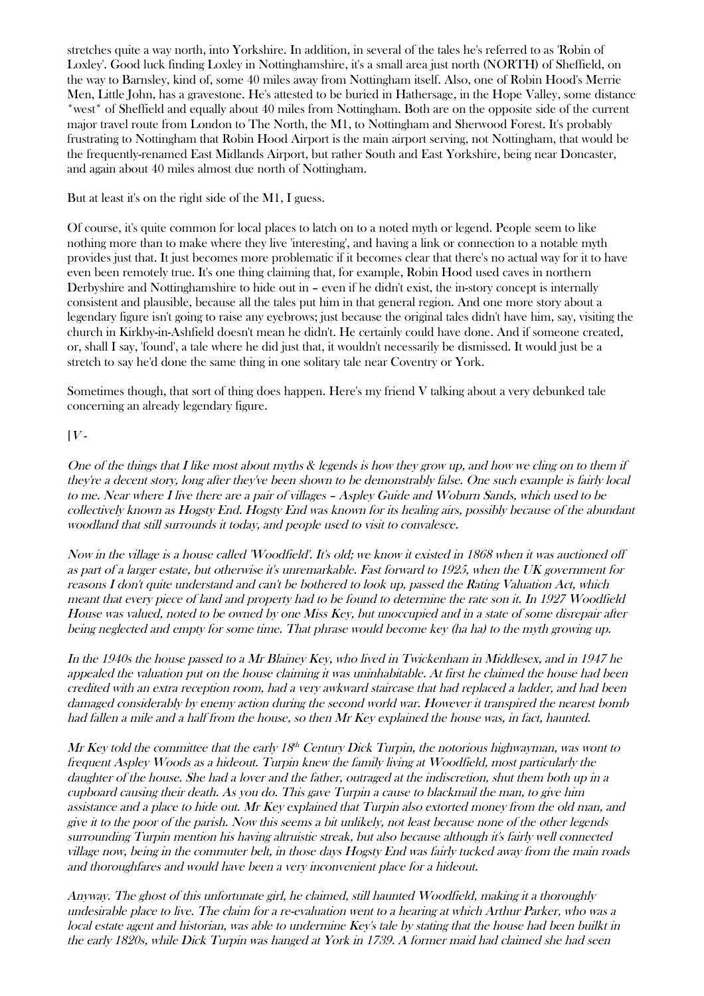stretches quite a way north, into Yorkshire. In addition, in several of the tales he's referred to as 'Robin of Loxley'. Good luck finding Loxley in Nottinghamshire, it's a small area just north (NORTH) of Sheffield, on the way to Barnsley, kind of, some 40 miles away from Nottingham itself. Also, one of Robin Hood's Merrie Men, Little John, has a gravestone. He's attested to be buried in Hathersage, in the Hope Valley, some distance \*west\* of Sheffield and equally about 40 miles from Nottingham. Both are on the opposite side of the current major travel route from London to The North, the M1, to Nottingham and Sherwood Forest. It's probably frustrating to Nottingham that Robin Hood Airport is the main airport serving, not Nottingham, that would be the frequently-renamed East Midlands Airport, but rather South and East Yorkshire, being near Doncaster, and again about 40 miles almost due north of Nottingham.

But at least it's on the right side of the M1, I guess.

Of course, it's quite common for local places to latch on to a noted myth or legend. People seem to like nothing more than to make where they live 'interesting', and having a link or connection to a notable myth provides just that. It just becomes more problematic if it becomes clear that there's no actual way for it to have even been remotely true. It's one thing claiming that, for example, Robin Hood used caves in northern Derbyshire and Nottinghamshire to hide out in – even if he didn't exist, the in-story concept is internally consistent and plausible, because all the tales put him in that general region. And one more story about a legendary figure isn't going to raise any eyebrows; just because the original tales didn't have him, say, visiting the church in Kirkby-in-Ashfield doesn't mean he didn't. He certainly could have done. And if someone created, or, shall I say, 'found', a tale where he did just that, it wouldn't necessarily be dismissed. It would just be a stretch to say he'd done the same thing in one solitary tale near Coventry or York.

Sometimes though, that sort of thing does happen. Here's my friend V talking about a very debunked tale concerning an already legendary figure.

# $[V -$

One of the things that I like most about myths & legends is how they grow up, and how we cling on to them if they're a decent story, long after they've been shown to be demonstrably false. One such example is fairly local to me. Near where I live there are a pair of villages – Aspley Guide and Woburn Sands, which used to be collectively known as Hogsty End. Hogsty End was known for its healing airs, possibly because of the abundant woodland that still surrounds it today, and people used to visit to convalesce.

Now in the village is a house called 'Woodfield'. It's old; we know it existed in 1868 when it was auctioned off as part of a larger estate, but otherwise it's unremarkable. Fast forward to 1925, when the UK government for reasons I don't quite understand and can't be bothered to look up, passed the Rating Valuation Act, which meant that every piece of land and property had to be found to determine the rate son it. In 1927 Woodfield House was valued, noted to be owned by one Miss Key, but unoccupied and in a state of some disrepair after being neglected and empty for some time. That phrase would become key (ha ha) to the myth growing up.

In the 1940s the house passed to a Mr Blainey Key, who lived in Twickenham in Middlesex, and in 1947 he appealed the valuation put on the house claiming it was uninhabitable. At first he claimed the house had been credited with an extra reception room, had a very awkward staircase that had replaced a ladder, and had been damaged considerably by enemy action during the second world war. However it transpired the nearest bomb had fallen a mile and a half from the house, so then Mr Key explained the house was, in fact, haunted.

Mr Key told the committee that the early  $18^{th}$  Century Dick Turpin, the notorious highwayman, was wont to frequent Aspley Woods as a hideout. Turpin knew the family living at Woodfield, most particularly the daughter of the house. She had a lover and the father, outraged at the indiscretion, shut them both up in a cupboard causing their death. As you do. This gave Turpin a cause to blackmail the man, to give him assistance and a place to hide out. Mr Key explained that Turpin also extorted money from the old man, and give it to the poor of the parish. Now this seems a bit unlikely, not least because none of the other legends surrounding Turpin mention his having altruistic streak, but also because although it's fairly well connected village now, being in the commuter belt, in those days Hogsty End was fairly tucked away from the main roads and thoroughfares and would have been a very inconvenient place for a hideout.

Anyway. The ghost of this unfortunate girl, he claimed, still haunted Woodfield, making it a thoroughly undesirable place to live. The claim for a re-evaluation went to a hearing at which Arthur Parker, who was a local estate agent and historian, was able to undermine Key's tale by stating that the house had been builkt in the early 1820s, while Dick Turpin was hanged at York in 1739. A former maid had claimed she had seen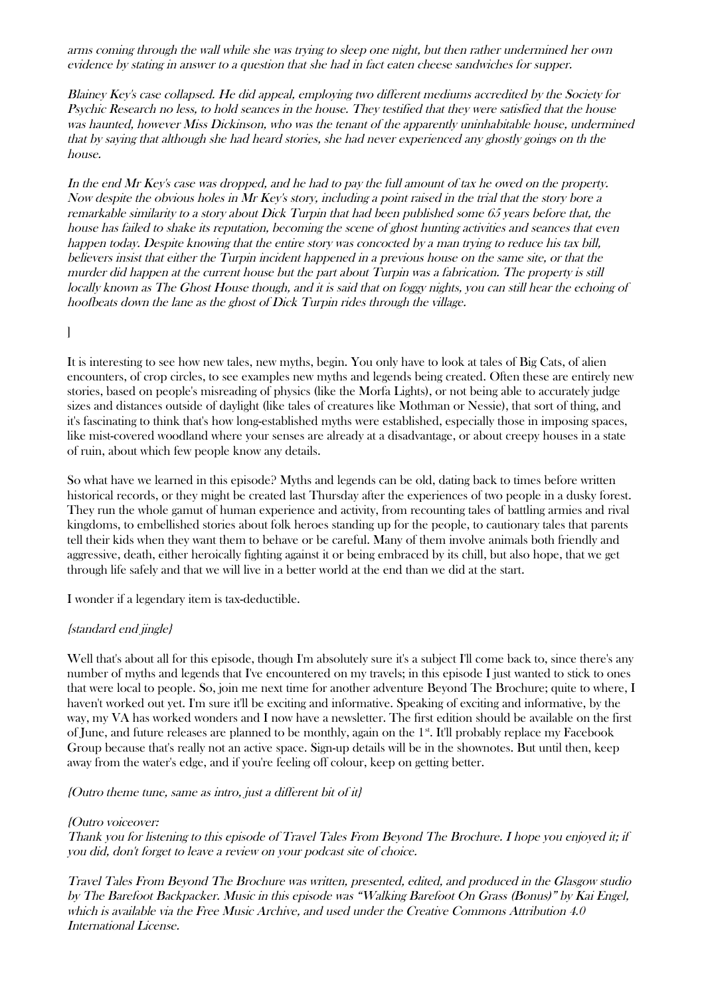arms coming through the wall while she was trying to sleep one night, but then rather undermined her own evidence by stating in answer to a question that she had in fact eaten cheese sandwiches for supper.

Blainey Key's case collapsed. He did appeal, employing two different mediums accredited by the Society for Psychic Research no less, to hold seances in the house. They testified that they were satisfied that the house was haunted, however Miss Dickinson, who was the tenant of the apparently uninhabitable house, undermined that by saying that although she had heard stories, she had never experienced any ghostly goings on th the house.

In the end Mr Key's case was dropped, and he had to pay the full amount of tax he owed on the property. Now despite the obvious holes in Mr Key's story, including a point raised in the trial that the story bore a remarkable similarity to a story about Dick Turpin that had been published some 65 years before that, the house has failed to shake its reputation, becoming the scene of ghost hunting activities and seances that even happen today. Despite knowing that the entire story was concocted by a man trying to reduce his tax bill, believers insist that either the Turpin incident happened in a previous house on the same site, or that the murder did happen at the current house but the part about Turpin was a fabrication. The property is still locally known as The Ghost House though, and it is said that on foggy nights, you can still hear the echoing of hoofbeats down the lane as the ghost of Dick Turpin rides through the village.

### ]

It is interesting to see how new tales, new myths, begin. You only have to look at tales of Big Cats, of alien encounters, of crop circles, to see examples new myths and legends being created. Often these are entirely new stories, based on people's misreading of physics (like the Morfa Lights), or not being able to accurately judge sizes and distances outside of daylight (like tales of creatures like Mothman or Nessie), that sort of thing, and it's fascinating to think that's how long-established myths were established, especially those in imposing spaces, like mist-covered woodland where your senses are already at a disadvantage, or about creepy houses in a state of ruin, about which few people know any details.

So what have we learned in this episode? Myths and legends can be old, dating back to times before written historical records, or they might be created last Thursday after the experiences of two people in a dusky forest. They run the whole gamut of human experience and activity, from recounting tales of battling armies and rival kingdoms, to embellished stories about folk heroes standing up for the people, to cautionary tales that parents tell their kids when they want them to behave or be careful. Many of them involve animals both friendly and aggressive, death, either heroically fighting against it or being embraced by its chill, but also hope, that we get through life safely and that we will live in a better world at the end than we did at the start.

I wonder if a legendary item is tax-deductible.

### {standard end jingle}

Well that's about all for this episode, though I'm absolutely sure it's a subject I'll come back to, since there's any number of myths and legends that I've encountered on my travels; in this episode I just wanted to stick to ones that were local to people. So, join me next time for another adventure Beyond The Brochure; quite to where, I haven't worked out yet. I'm sure it'll be exciting and informative. Speaking of exciting and informative, by the way, my VA has worked wonders and I now have a newsletter. The first edition should be available on the first of June, and future releases are planned to be monthly, again on the 1st. It'll probably replace my Facebook Group because that's really not an active space. Sign-up details will be in the shownotes. But until then, keep away from the water's edge, and if you're feeling off colour, keep on getting better.

{Outro theme tune, same as intro, just a different bit of it}

#### {Outro voiceover:

Thank you for listening to this episode of Travel Tales From Beyond The Brochure. I hope you enjoyed it; if you did, don't forget to leave a review on your podcast site of choice.

Travel Tales From Beyond The Brochure was written, presented, edited, and produced in the Glasgow studio by The Barefoot Backpacker. Music in this episode was "Walking Barefoot On Grass (Bonus)" by Kai Engel, which is available via the Free Music Archive, and used under the Creative Commons Attribution 4.0 International License.